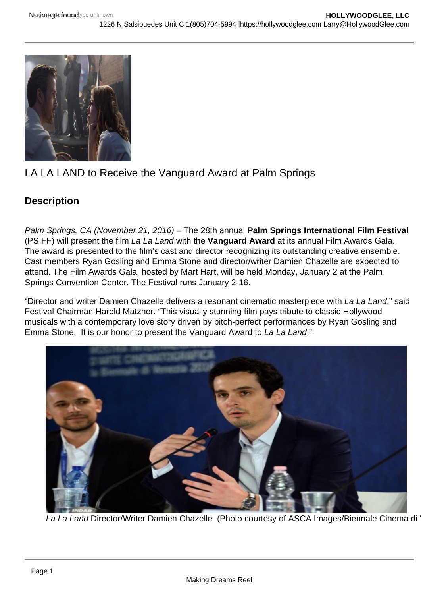

# LA LA LAND to Receive the Vanguard Award at Palm Springs

## **Description**

Palm Springs, CA (November 21, 2016) – The 28th annual **Palm Springs International Film Festival**  (PSIFF) will present the film La La Land with the **Vanguard Award** at its annual Film Awards Gala. The award is presented to the film's cast and director recognizing its outstanding creative ensemble. Cast members Ryan Gosling and Emma Stone and director/writer Damien Chazelle are expected to attend. The Film Awards Gala, hosted by Mart Hart, will be held Monday, January 2 at the Palm Springs Convention Center. The Festival runs January 2-16.

"Director and writer Damien Chazelle delivers a resonant cinematic masterpiece with La La Land," said Festival Chairman Harold Matzner. "This visually stunning film pays tribute to classic Hollywood musicals with a contemporary love story driven by pitch-perfect performances by Ryan Gosling and Emma Stone. It is our honor to present the Vanguard Award to La La Land."



La La Land Director/Writer Damien Chazelle (Photo courtesy of ASCA Images/Biennale Cinema di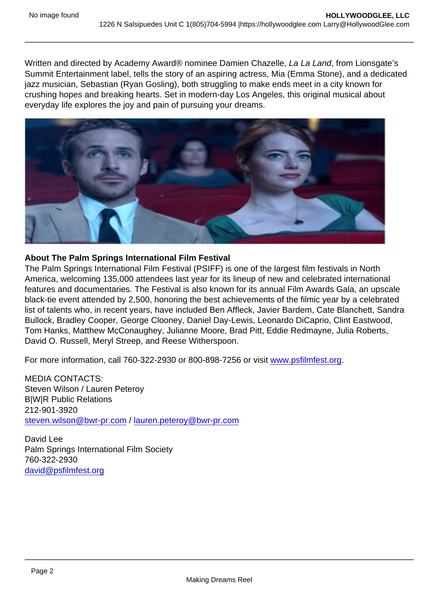Written and directed by Academy Award® nominee Damien Chazelle, La La Land, from Lionsgate's Summit Entertainment label, tells the story of an aspiring actress, Mia (Emma Stone), and a dedicated jazz musician, Sebastian (Ryan Gosling), both struggling to make ends meet in a city known for crushing hopes and breaking hearts. Set in modern-day Los Angeles, this original musical about everyday life explores the joy and pain of pursuing your dreams.

About The Palm Springs International Film Festival

The Palm Springs International Film Festival (PSIFF) is one of the largest film festivals in North America, welcoming 135,000 attendees last year for its lineup of new and celebrated international features and documentaries. The Festival is also known for its annual Film Awards Gala, an upscale black-tie event attended by 2,500, honoring the best achievements of the filmic year by a celebrated list of talents who, in recent years, have included Ben Affleck, Javier Bardem, Cate Blanchett, Sandra Bullock, Bradley Cooper, George Clooney, Daniel Day-Lewis, Leonardo DiCaprio, Clint Eastwood, Tom Hanks, Matthew McConaughey, Julianne Moore, Brad Pitt, Eddie Redmayne, Julia Roberts, David O. Russell, Meryl Streep, and Reese Witherspoon.

For more information, call 760-322-2930 or 800-898-7256 or visit [www.psfilmfest.org](http://www.psfilmfest.org/).

MEDIA CONTACTS: Steven Wilson / Lauren Peteroy B|W|R Public Relations 212-901-3920 [steven.wilson@bwr-pr.com](mailto:steven.wilson@bwr-pr.com) / [lauren.peteroy@bwr-pr.com](mailto:lauren.peteroy@bwr-pr.com)

David Lee Palm Springs International Film Society 760-322-2930 [david@psfilmfest.org](mailto:david@psfilmfest.org)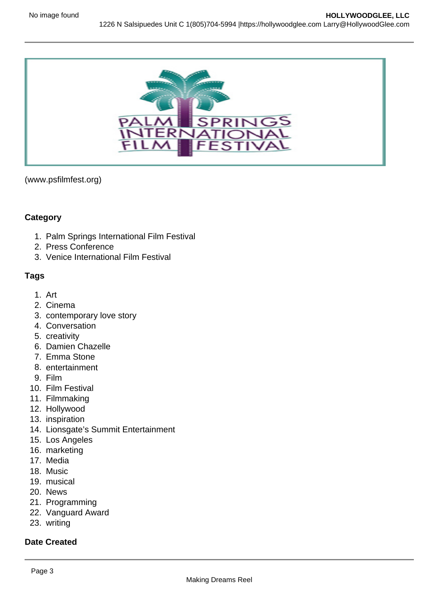

(www.psfilmfest.org)

### **Category**

- 1. Palm Springs International Film Festival
- 2. Press Conference
- 3. Venice International Film Festival

### **Tags**

- 1. Art
- 2. Cinema
- 3. contemporary love story
- 4. Conversation
- 5. creativity
- 6. Damien Chazelle
- 7. Emma Stone
- 8. entertainment
- 9. Film
- 10. Film Festival
- 11. Filmmaking
- 12. Hollywood
- 13. inspiration
- 14. Lionsgate's Summit Entertainment
- 15. Los Angeles
- 16. marketing
- 17. Media
- 18. Music
- 19. musical
- 20. News
- 21. Programming
- 22. Vanguard Award
- 23. writing

#### **Date Created**